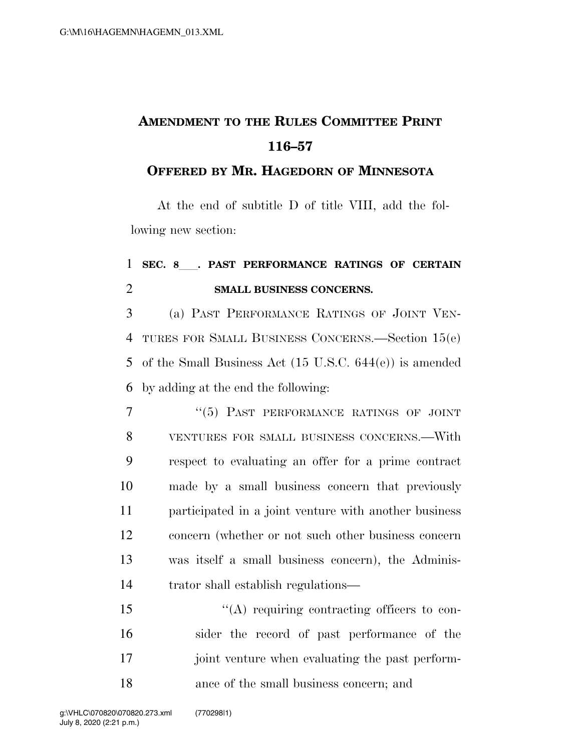## **AMENDMENT TO THE RULES COMMITTEE PRINT 116–57**

## **OFFERED BY MR. HAGEDORN OF MINNESOTA**

At the end of subtitle D of title VIII, add the following new section:

## <sup>1</sup> **SEC. 8**ll**. PAST PERFORMANCE RATINGS OF CERTAIN**  2 **SMALL BUSINESS CONCERNS.**

 (a) PAST PERFORMANCE RATINGS OF JOINT VEN- TURES FOR SMALL BUSINESS CONCERNS.—Section 15(e) of the Small Business Act (15 U.S.C. 644(e)) is amended by adding at the end the following:

7 "(5) PAST PERFORMANCE RATINGS OF JOINT VENTURES FOR SMALL BUSINESS CONCERNS.—With respect to evaluating an offer for a prime contract made by a small business concern that previously participated in a joint venture with another business concern (whether or not such other business concern was itself a small business concern), the Adminis-trator shall establish regulations—

 $\langle (A)$  requiring contracting officers to con- sider the record of past performance of the 17 joint venture when evaluating the past perform-ance of the small business concern; and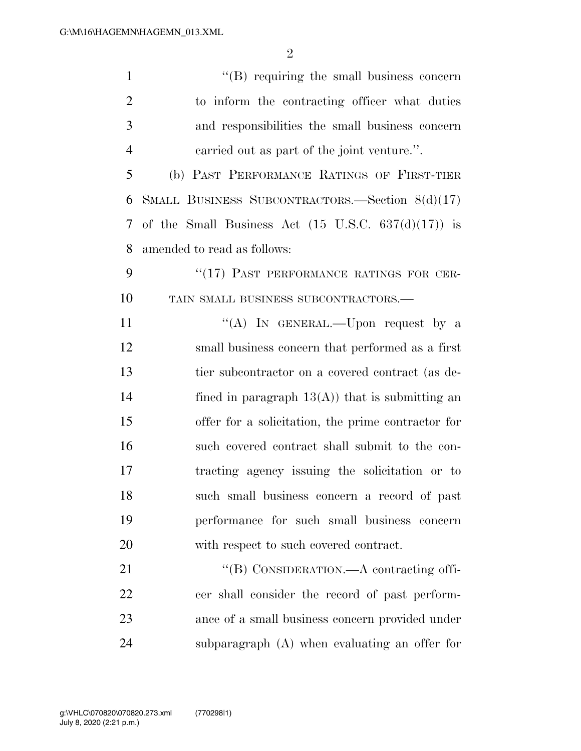| $\mathbf{1}$   | $\lq\lq$ requiring the small business concern                         |
|----------------|-----------------------------------------------------------------------|
| $\overline{2}$ | to inform the contracting officer what duties                         |
| 3              | and responsibilities the small business concern                       |
| $\overline{4}$ | carried out as part of the joint venture.".                           |
| 5              | (b) PAST PERFORMANCE RATINGS OF FIRST-TIER                            |
| 6              | SMALL BUSINESS SUBCONTRACTORS.—Section 8(d)(17)                       |
| 7              | of the Small Business Act $(15 \text{ U.S.C. } 637(\text{d})(17))$ is |
| 8              | amended to read as follows:                                           |
| 9              | "(17) PAST PERFORMANCE RATINGS FOR CER-                               |
| 10             | TAIN SMALL BUSINESS SUBCONTRACTORS.-                                  |
| 11             | "(A) IN GENERAL.—Upon request by a                                    |
| 12             | small business concern that performed as a first                      |
| 13             | tier subcontractor on a covered contract (as de-                      |
| 14             | fined in paragraph $13(A)$ that is submitting an                      |
| 15             | offer for a solicitation, the prime contractor for                    |
| 16             | such covered contract shall submit to the con-                        |
| 17             | tracting agency issuing the solicitation or to                        |
| 18             | such small business concern a record of past                          |
| 19             | performance for such small business concern                           |
| 20             | with respect to such covered contract.                                |
| 21             | "(B) CONSIDERATION.—A contracting offi-                               |
| 22             | cer shall consider the record of past perform-                        |
| 23             | ance of a small business concern provided under                       |
| 24             | subparagraph (A) when evaluating an offer for                         |

July 8, 2020 (2:21 p.m.) g:\VHLC\070820\070820.273.xml (770298|1)